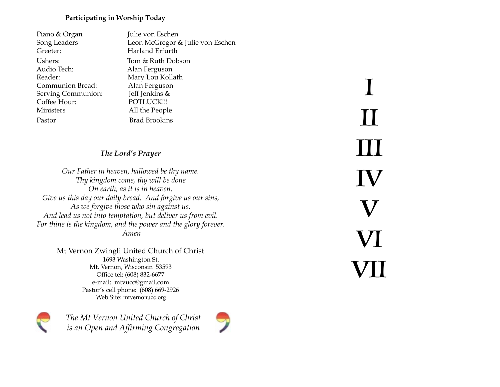### **Participating in Worship Today**

| Piano & Organ      | Julie von Eschen                 |
|--------------------|----------------------------------|
| Song Leaders       | Leon McGregor & Julie von Eschen |
| Greeter:           | Harland Erfurth                  |
| Ushers:            | Tom & Ruth Dobson                |
| Audio Tech:        | Alan Ferguson                    |
| Reader:            | Mary Lou Kollath                 |
| Communion Bread:   | Alan Ferguson                    |
| Serving Communion: | Jeff Jenkins &                   |
| Coffee Hour:       | POTLUCK!!!                       |
| <b>Ministers</b>   | All the People                   |
| Pastor             | <b>Brad Brookins</b>             |
|                    |                                  |

## *The Lord's Prayer*

*Our Father in heaven, hallowed be thy name. Thy kingdom come, thy will be done On earth, as it is in heaven. Give us this day our daily bread. And forgive us our sins, As we forgive those who sin against us. And lead us not into temptation, but deliver us from evil. For thine is the kingdom, and the power and the glory forever. Amen* 

> Mt Vernon Zwingli United Church of Christ 1693 Washington St. Mt. Vernon, Wisconsin 53593 Office tel: (608) 832-6677 e-mail: mtvucc@gmail.com Pastor's cell phone: (608) 669-2926 Web Site: [mtvernonucc.org](http://mtvernonucc.org)



*The Mt Vernon United Church of Christ is an Open and Affirming Congregation*



I II III IV V VI VII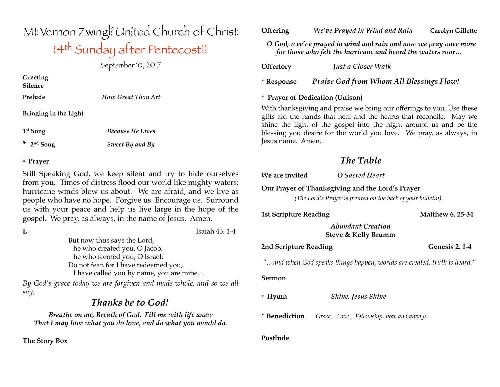# Mt Vernon Zwingli United Church of Christ 14th Sunday after Pentecost!!

September 10, 2017

**Greeting Silence**

**Prelude** *How Great Thou Art*

**Bringing in the Light**

**1st Song** *Because He Lives*

**\* 2nd Song** *Sweet By and By*

## \* **Prayer**

Still Speaking God, we keep silent and try to hide ourselves from you. Times of distress flood our world like mighty waters; hurricane winds blow us about. We are afraid, and we live as people who have no hope. Forgive us. Encourage us. Surround us with your peace and help us live large in the hope of the gospel. We pray, as always, in the name of Jesus. Amen.

**L :** Isaiah 43. 1-4 But now thus says the Lord, he who created you, O Jacob, he who formed you, O Israel: Do not fear, for I have redeemed you; I have called you by name, you are mine…

*By God's grace today we are forgiven and made whole, and so we all say:*

## *Thanks be to God!*

*Breathe on me, Breath of God. Fill me with life anew That I may love what you do love, and do what you would do.*

**The Story Box** 

### **Offering** *We've Prayed in Wind and Rain* **Carolyn Gillette**

 *O God, wee've prayed in wind and rain and now we pray once more for those who felt the hurricane and heard the waters roar…* 

**Offertory** *Just a Closer Walk*

**\* Response** *Praise God from Whom All Blessings Flow!*

## **\* Prayer of Dedication (Unison)**

With thanksgiving and praise we bring our offerings to you. Use these gifts aid the hands that heal and the hearts that reconcile. May we shine the light of the gospel into the night around us and be the blessing you desire for the world you love. We pray, as always, in Jesus name. Amen.

## *The Table*

| We are invited               | O Sacred Heart                                                                                                  |                         |
|------------------------------|-----------------------------------------------------------------------------------------------------------------|-------------------------|
|                              | Our Prayer of Thanksgiving and the Lord's Prayer<br>(The Lord's Prayer is printed on the back of your bulletin) |                         |
| <b>1st Scripture Reading</b> |                                                                                                                 | <b>Matthew 6, 25-34</b> |
|                              | <b>Abundant Creation</b><br>Steve & Kelly Brumm                                                                 |                         |
| 2nd Scripture Reading        |                                                                                                                 | Genesis 2.1-4           |
|                              | "and when God speaks things happen, worlds are created, truth is heard."                                        |                         |
| Sermon                       |                                                                                                                 |                         |
| $*$ Hymn                     | <b>Shine, Jesus Shine</b>                                                                                       |                         |
| * Benediction                | GraceLoveFellowship, now and always                                                                             |                         |

#### **Postlude**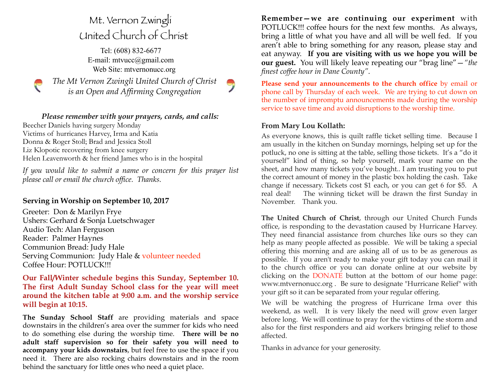## Mt. Vernon Zwingli United Church of Christ

Tel: (608) 832-6677 E-mail: [mtvucc@gmail.com](mailto:mtvucc@gmail.com) Web Site: [mtvernonucc.org](http://mtvernonucc.org)

*The Mt Vernon Zwingli United Church of Christ is an Open and Affirming Congregation* 



Beecher Daniels having surgery Monday Victims of hurricanes Harvey, Irma and Katia Donna & Roger Stoll; Brad and Jessica Stoll Liz Klopotic recovering from knee surgery Helen Leavenworth & her friend James who is in the hospital

*If you would like to submit a name or concern for this prayer list please call or email the church office. Thanks.*

## **Serving in Worship on September 10, 2017**

P

Greeter: Don & Marilyn Frye Ushers: Gerhard & Sonja Luetschwager Audio Tech: Alan Ferguson Reader: Palmer Haynes Communion Bread: Judy Hale Serving Communion: Judy Hale & volunteer needed Coffee Hour: POTLUCK!!!

**Our Fall/Winter schedule begins this Sunday, September 10. The first Adult Sunday School class for the year will meet around the kitchen table at 9:00 a.m. and the worship service will begin at 10:15.** 

**The Sunday School Staff** are providing materials and space downstairs in the children's area over the summer for kids who need to do something else during the worship time. **There will be no adult staff supervision so for their safety you will need to accompany your kids downstairs**, but feel free to use the space if you need it. There are also rocking chairs downstairs and in the room behind the sanctuary for little ones who need a quiet place.

**Remember—we are continuing our experiment** with POTLUCK!!! coffee hours for the next few months. As always, bring a little of what you have and all will be well fed. If you aren't able to bring something for any reason, please stay and eat anyway. **If you are visiting with us we hope you will be our guest.** You will likely leave repeating our "brag line"—*"the finest coffee hour in Dane County"*.

**Please send your announcements to the church office** by email or phone call by Thursday of each week. We are trying to cut down on the number of impromptu announcements made during the worship service to save time and avoid disruptions to the worship time.

#### **From Mary Lou Kollath:**

As everyone knows, this is quilt raffle ticket selling time. Because I am usually in the kitchen on Sunday mornings, helping set up for the potluck, no one is sitting at the table, selling those tickets. It's a "do it yourself" kind of thing, so help yourself, mark your name on the sheet, and how many tickets you've bought.. I am trusting you to put the correct amount of money in the plastic box holding the cash. Take change if necessary. Tickets cost \$1 each, or you can get 6 for \$5. A real deal! The winning ticket will be drawn the first Sunday in November. Thank you.

**The United Church of Christ**, through our United Church Funds office, is responding to the devastation caused by Hurricane Harvey. They need financial assistance from churches like ours so they can help as many people affected as possible. We will be taking a special offering this morning and are asking all of us to be as generous as possible. If you aren't ready to make your gift today you can mail it to the church office or you can donate online at our website by clicking on the DONATE button at the bottom of our home page: www.mtvernonucc.org . Be sure to designate "Hurricane Relief" with your gift so it can be separated from your regular offering.

We will be watching the progress of Hurricane Irma over this weekend, as well. It is very likely the need will grow even larger before long. We will continue to pray for the victims of the storm and also for the first responders and aid workers bringing relief to those affected.

Thanks in advance for your generosity.